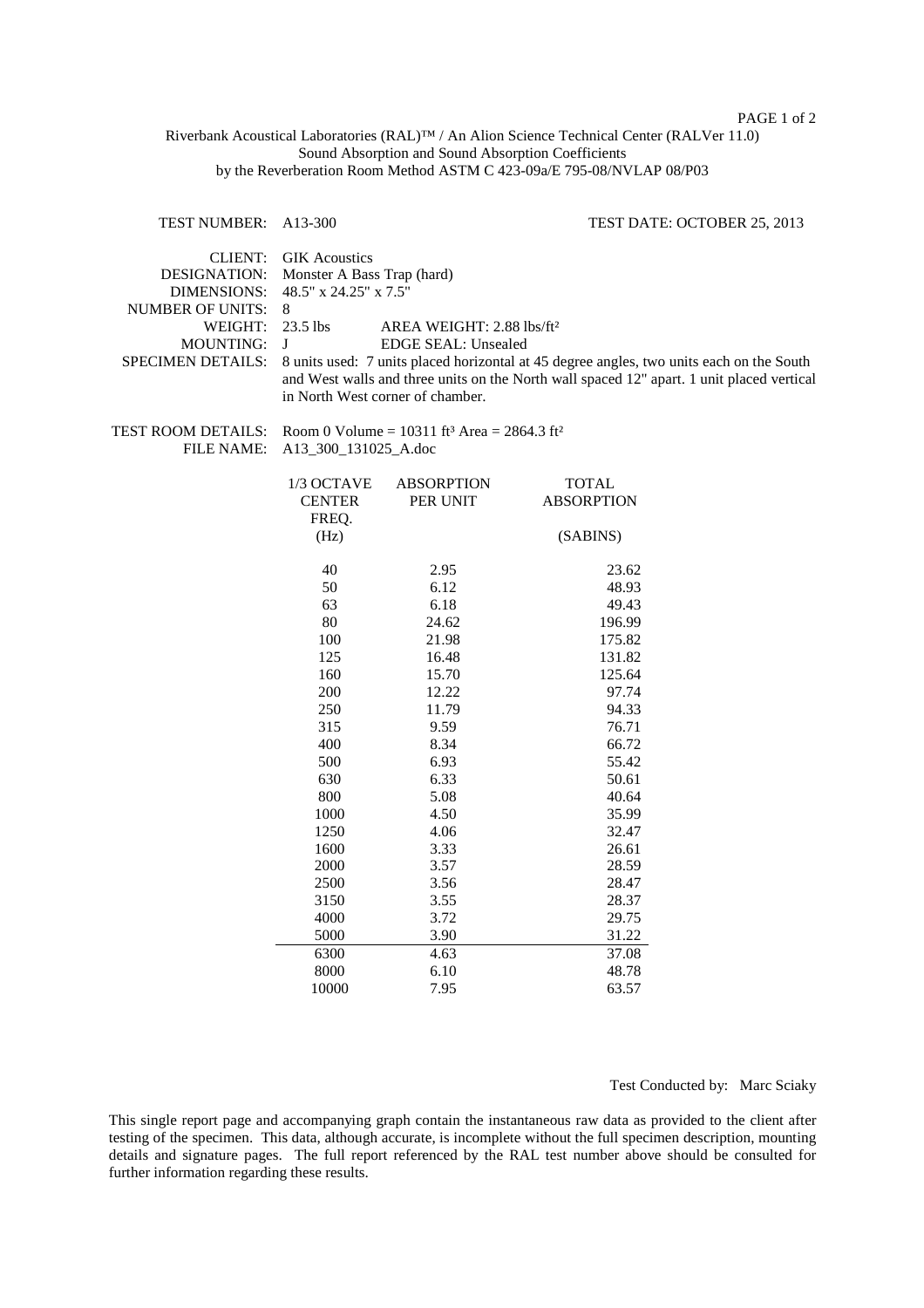PAGE 1 of 2

Riverbank Acoustical Laboratories (RAL)™ / An Alion Science Technical Center (RALVer 11.0) Sound Absorption and Sound Absorption Coefficients by the Reverberation Room Method ASTM C 423-09a/E 795-08/NVLAP 08/P03

## TEST NUMBER: A13-300 TEST DATE: OCTOBER 25, 2013

| <b>CLIENT:</b>           | <b>GIK</b> Acoustics                                                                            |                   |                   |
|--------------------------|-------------------------------------------------------------------------------------------------|-------------------|-------------------|
| <b>DESIGNATION:</b>      | Monster A Bass Trap (hard)                                                                      |                   |                   |
| <b>DIMENSIONS:</b>       | 48.5" x 24.25" x 7.5"                                                                           |                   |                   |
| <b>NUMBER OF UNITS:</b>  | 8                                                                                               |                   |                   |
| WEIGHT:                  | 23.5 lbs<br>AREA WEIGHT: $2.88$ lbs/ft <sup>2</sup>                                             |                   |                   |
| <b>MOUNTING:</b>         | J<br><b>EDGE SEAL: Unsealed</b>                                                                 |                   |                   |
| <b>SPECIMEN DETAILS:</b> | 8 units used: 7 units placed horizontal at 45 degree angles, two units each on the South        |                   |                   |
|                          | and West walls and three units on the North wall spaced 12" apart. 1 unit placed vertical       |                   |                   |
|                          | in North West corner of chamber.                                                                |                   |                   |
| TEST ROOM DETAILS:       |                                                                                                 |                   |                   |
| FILE NAME:               | Room 0 Volume = $10311$ ft <sup>3</sup> Area = $2864.3$ ft <sup>2</sup><br>A13_300_131025_A.doc |                   |                   |
|                          |                                                                                                 |                   |                   |
|                          | 1/3 OCTAVE                                                                                      | <b>ABSORPTION</b> | <b>TOTAL</b>      |
|                          | <b>CENTER</b>                                                                                   | PER UNIT          | <b>ABSORPTION</b> |
|                          | FREQ.                                                                                           |                   |                   |
|                          | (Hz)                                                                                            |                   | (SABINS)          |
|                          | 40                                                                                              | 2.95              | 23.62             |
|                          | 50                                                                                              | 6.12              | 48.93             |
|                          | 63                                                                                              | 6.18              | 49.43             |
|                          | 80                                                                                              | 24.62             | 196.99            |
|                          | 100                                                                                             | 21.98             | 175.82            |
|                          | 125                                                                                             | 16.48             | 131.82            |
|                          | 160                                                                                             | 15.70             | 125.64            |
|                          | 200                                                                                             | 12.22             | 97.74             |
|                          | 250                                                                                             | 11.79             | 94.33             |
|                          | 315                                                                                             | 9.59              | 76.71             |
|                          | 400                                                                                             | 8.34              | 66.72             |
|                          | 500                                                                                             | 6.93              | 55.42             |
|                          | 630                                                                                             | 6.33              | 50.61             |
|                          | 800                                                                                             | 5.08              | 40.64             |
|                          | 1000                                                                                            | 4.50              | 35.99             |
|                          | 1250                                                                                            | 4.06              | 32.47             |
|                          | 1600                                                                                            | 3.33              | 26.61             |
|                          | 2000                                                                                            | 3.57              | 28.59             |
|                          | 2500                                                                                            | 3.56              | 28.47             |
|                          | 3150                                                                                            | 3.55              | 28.37             |
|                          | 4000                                                                                            | 3.72              | 29.75             |
|                          | 5000                                                                                            | 3.90              | 31.22             |
|                          | 6300                                                                                            | 4.63              | 37.08             |
|                          | 8000                                                                                            | 6.10              | 48.78             |
|                          | 10000                                                                                           | 7.95              | 63.57             |

Test Conducted by: Marc Sciaky

This single report page and accompanying graph contain the instantaneous raw data as provided to the client after testing of the specimen. This data, although accurate, is incomplete without the full specimen description, mounting details and signature pages. The full report referenced by the RAL test number above should be consulted for further information regarding these results.